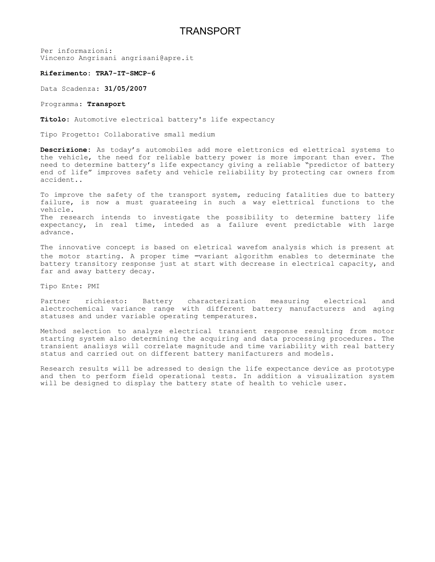## TRANSPORT

Per informazioni: Vincenzo Angrisani angrisani@apre.it

## **Riferimento: TRA7-IT-SMCP-6**

Data Scadenza: **31/05/2007**

## Programma: **Transport**

**Titolo**: Automotive electrical battery's life expectancy

Tipo Progetto: Collaborative small medium

**Descrizione:** As today's automobiles add more elettronics ed elettrical systems to the vehicle, the need for reliable battery power is more imporant than ever. The need to determine battery's life expectancy giving a reliable "predictor of battery end of life" improves safety and vehicle reliability by protecting car owners from accident..

To improve the safety of the transport system, reducing fatalities due to battery failure, is now a must guarateeing in such a way elettrical functions to the vehicle. The research intends to investigate the possibility to determine battery life expectancy, in real time, inteded as a failure event predictable with large advance.

The innovative concept is based on eletrical wavefom analysis which is present at the motor starting. A proper time –variant algorithm enables to determinate the battery transitory response just at start with decrease in electrical capacity, and far and away battery decay.

Tipo Ente: PMI

Partner richiesto: Battery characterization measuring electrical and alectrochemical variance range with different battery manufacturers and aging statuses and under variable operating temperatures.

Method selection to analyze electrical transient response resulting from motor starting system also determining the acquiring and data processing procedures. The transient analisys will correlate magnitude and time variability with real battery status and carried out on different battery manifacturers and models.

Research results will be adressed to design the life expectance device as prototype and then to perform field operational tests. In addition a visualization system will be designed to display the battery state of health to vehicle user.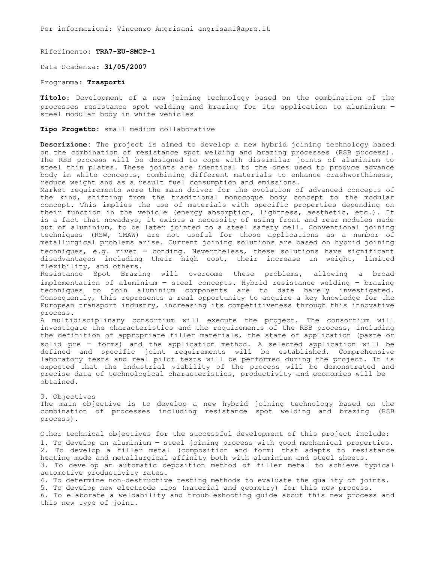Per informazioni: Vincenzo Angrisani angrisani@apre.it

Riferimento: **TRA7-EU-SMCP-1**

Data Scadenza: **31/05/2007**

Programma: **Trasporti**

**Titolo**: Development of a new joining technology based on the combination of the processes resistance spot welding and brazing for its application to aluminium – steel modular body in white vehicles

**Tipo Progetto**: small medium collaborative

**Descrizione:** The project is aimed to develop a new hybrid joining technology based on the combination of resistance spot welding and brazing processes (RSB process). The RSB process will be designed to cope with dissimilar joints of aluminium to steel thin plates. These joints are identical to the ones used to produce advance body in white concepts, combining different materials to enhance crashworthiness, reduce weight and as a result fuel consumption and emissions.

Market requirements were the main driver for the evolution of advanced concepts of the kind, shifting from the traditional monocoque body concept to the modular concept. This implies the use of materials with specific properties depending on their function in the vehicle (energy absorption, lightness, aesthetic, etc.). It is a fact that nowadays, it exists a necessity of using front and rear modules made out of aluminium, to be later jointed to a steel safety cell. Conventional joining techniques (RSW, GMAW) are not useful for those applications as a number of metallurgical problems arise. Current joining solutions are based on hybrid joining techniques, e.g. rivet – bonding. Nevertheless, these solutions have significant disadvantages including their high cost, their increase in weight, limited flexibility, and others.

Resistance Spot Brazing will overcome these problems, allowing a broad implementation of aluminium – steel concepts. Hybrid resistance welding – brazing techniques to join aluminium components are to date barely investigated. Consequently, this represents a real opportunity to acquire a key knowledge for the European transport industry, increasing its competitiveness through this innovative process.

A multidisciplinary consortium will execute the project. The consortium will investigate the characteristics and the requirements of the RSB process, including the definition of appropriate filler materials, the state of application (paste or solid pre – forms) and the application method. A selected application will be defined and specific joint requirements will be established. Comprehensive laboratory tests and real pilot tests will be performed during the project. It is expected that the industrial viability of the process will be demonstrated and precise data of technological characteristics, productivity and economics will be obtained.

3. Objectives

The main objective is to develop a new hybrid joining technology based on the combination of processes including resistance spot welding and brazing (RSB process).

Other technical objectives for the successful development of this project include: 1. To develop an aluminium – steel joining process with good mechanical properties. 2. To develop a filler metal (composition and form) that adapts to resistance heating mode and metallurgical affinity both with aluminium and steel sheets. 3. To develop an automatic deposition method of filler metal to achieve typical automotive productivity rates.

4. To determine non-destructive testing methods to evaluate the quality of joints. 5. To develop new electrode tips (material and geometry) for this new process. 6. To elaborate a weldability and troubleshooting guide about this new process and this new type of joint.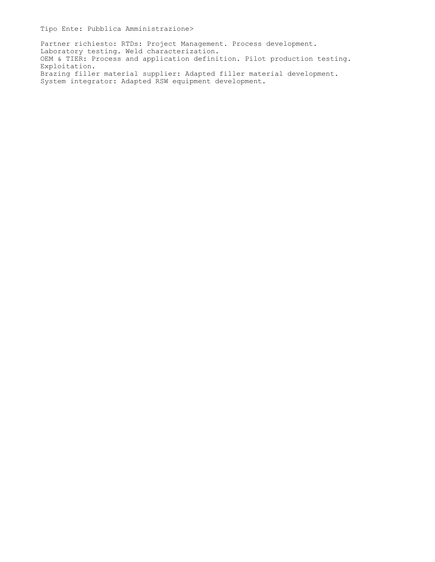Partner richiesto: RTDs: Project Management. Process development. Laboratory testing. Weld characterization. OEM & TIER: Process and application definition. Pilot production testing. Exploitation. Brazing filler material supplier: Adapted filler material development. System integrator: Adapted RSW equipment development.